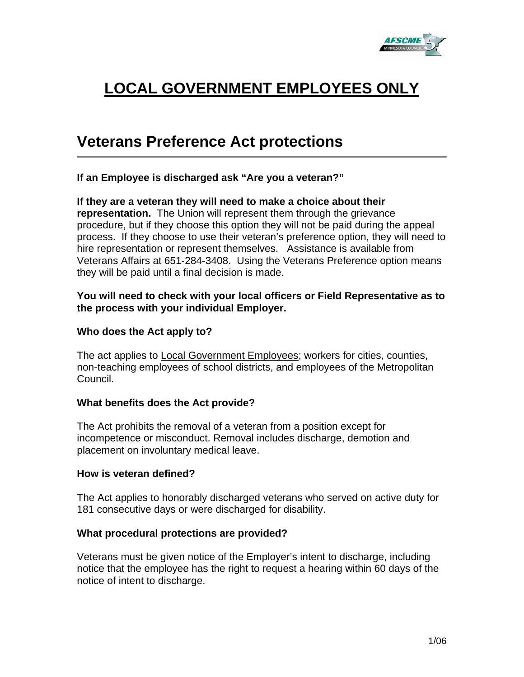

# **LOCAL GOVERNMENT EMPLOYEES ONLY**

# **Veterans Preference Act protections**

**If an Employee is discharged ask "Are you a veteran?"** 

**If they are a veteran they will need to make a choice about their representation.** The Union will represent them through the grievance procedure, but if they choose this option they will not be paid during the appeal process. If they choose to use their veteran's preference option, they will need to hire representation or represent themselves. Assistance is available from Veterans Affairs at 651-284-3408. Using the Veterans Preference option means they will be paid until a final decision is made.

## **You will need to check with your local officers or Field Representative as to the process with your individual Employer.**

### **Who does the Act apply to?**

The act applies to Local Government Employees; workers for cities, counties, non-teaching employees of school districts, and employees of the Metropolitan Council.

#### **What benefits does the Act provide?**

The Act prohibits the removal of a veteran from a position except for incompetence or misconduct. Removal includes discharge, demotion and placement on involuntary medical leave.

#### **How is veteran defined?**

The Act applies to honorably discharged veterans who served on active duty for 181 consecutive days or were discharged for disability.

# **What procedural protections are provided?**

Veterans must be given notice of the Employer's intent to discharge, including notice that the employee has the right to request a hearing within 60 days of the notice of intent to discharge.